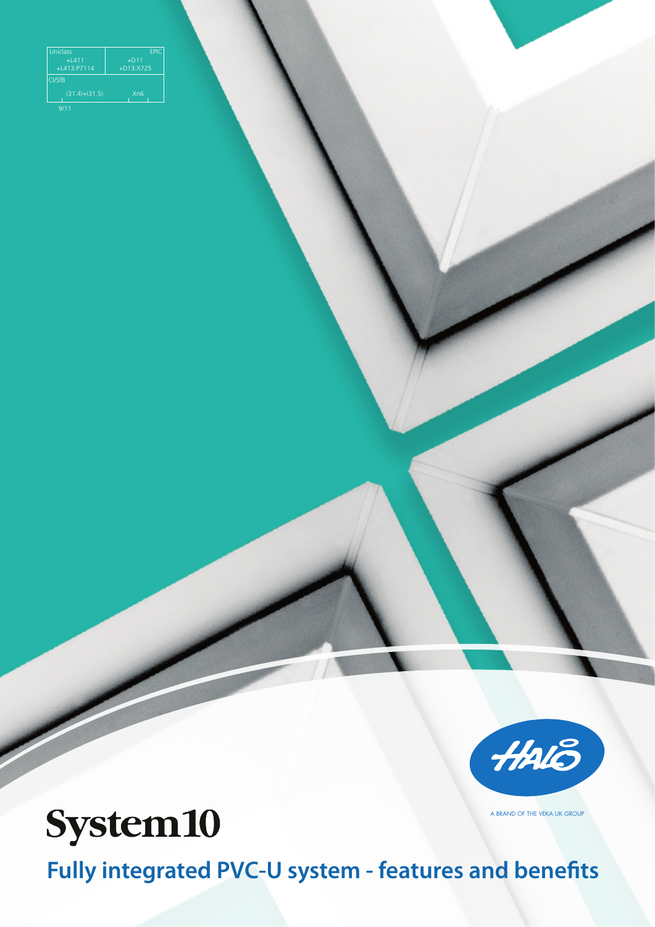| <b>EPIC</b>      |
|------------------|
| $+D11$           |
| $+D13:X725$      |
|                  |
| X <sub>n</sub> 6 |
|                  |



A BRAND OF THE VEKA UK GROUP

# **System10**

**Fully integrated PVC-U system - features and benefits**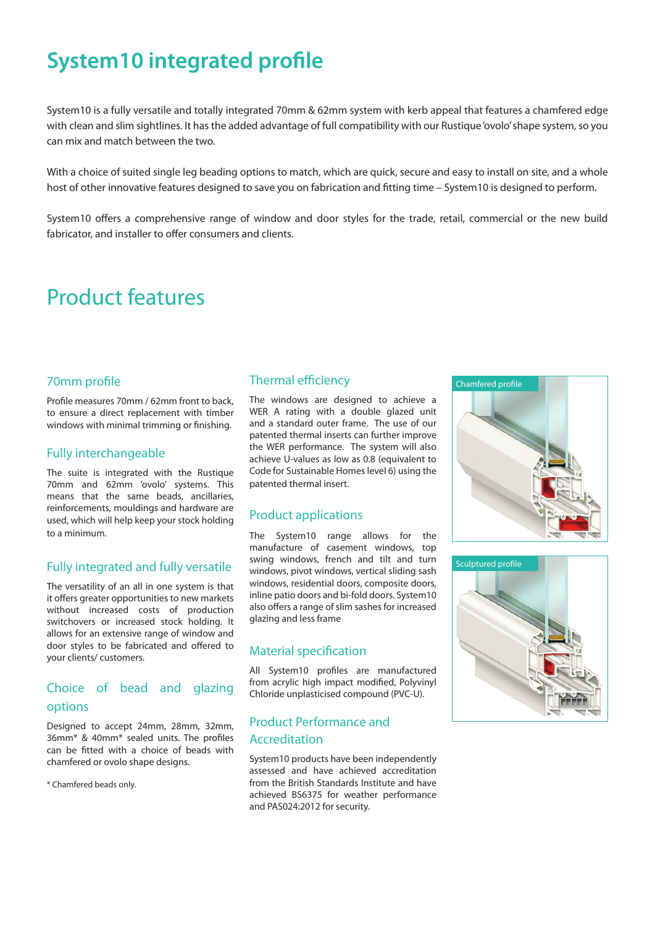# **System10 integrated profile**

System10 is a fully versatile and totally integrated 70mm & 62mm system with kerb appeal that features a chamfered edge with clean and slim sightlines. It has the added advantage of full compatibility with our Rustique 'ovolo' shape system, so you can mix and match between the two.

With a choice of suited single leg beading options to match, which are quick, secure and easy to install on site, and a whole host of other innovative features designed to save you on fabrication and fitting time – System10 is designed to perform.

System10 offers a comprehensive range of window and door styles for the trade, retail, commercial or the new build fabricator, and installer to offer consumers and clients.

### Product features

#### 70mm profile

Profile measures 70mm / 62mm front to back, to ensure a direct replacement with timber windows with minimal trimming or finishing.

#### Fully interchangeable

The suite is integrated with the Rustique 70mm and 62mm 'ovolo' systems. This means that the same beads, ancillaries, reinforcements, mouldings and hardware are used, which will help keep your stock holding to a minimum.

#### Fully integrated and fully versatile

The versatility of an all in one system is that it offers greater opportunities to new markets without increased costs of production switchovers or increased stock holding. It allows for an extensive range of window and door styles to be fabricated and offered to your clients/ customers.

#### Choice of bead and glazing options

Designed to accept 24mm, 28mm, 32mm, 36mm\* & 40mm\* sealed units. The profiles can be fitted with a choice of beads with chamfered or ovolo shape designs.

\* Chamfered beads only.

#### Thermal efficiency

The windows are designed to achieve a WER A rating with a double glazed unit and a standard outer frame. The use of our patented thermal inserts can further improve the WER performance. The system will also achieve U-values as low as 0.8 (equivalent to Code for Sustainable Homes level 6) using the patented thermal insert.

#### Product applications

The System10 range allows for the manufacture of casement windows, top swing windows, french and tilt and turn windows, pivot windows, vertical sliding sash windows, residential doors, composite doors, inline patio doors and bi-fold doors. System10 also offers a range of slim sashes for increased glazing and less frame

#### Material specification

All System10 profiles are manufactured from acrylic high impact modified, Polyvinyl Chloride unplasticised compound (PVC-U).

#### Product Performance and Accreditation

System10 products have been independently assessed and have achieved accreditation from the British Standards Institute and have achieved BS6375 for weather performance and PAS024:2012 for security.



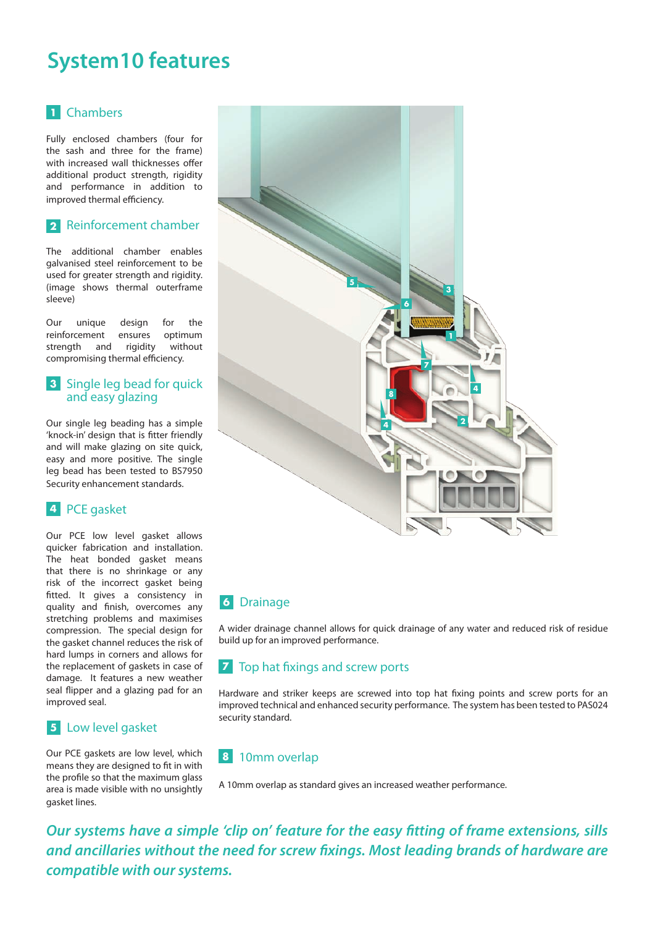## **System10 features**

#### Chambers **1**

Fully enclosed chambers (four for the sash and three for the frame) with increased wall thicknesses offer additional product strength, rigidity and performance in addition to improved thermal efficiency.

#### Reinforcement chamber **2**

The additional chamber enables galvanised steel reinforcement to be used for greater strength and rigidity. (image shows thermal outerframe sleeve)

Our unique design for the reinforcement ensures optimum strength and rigidity without compromising thermal efficiency.

#### **3** Single leg bead for quick and easy glazing

Our single leg beading has a simple 'knock-in' design that is fitter friendly and will make glazing on site quick, easy and more positive. The single leg bead has been tested to BS7950 Security enhancement standards.

#### PCE gasket **4**

Our PCE low level gasket allows quicker fabrication and installation. The heat bonded gasket means that there is no shrinkage or any risk of the incorrect gasket being fitted. It gives a consistency in quality and finish, overcomes any stretching problems and maximises compression. The special design for the gasket channel reduces the risk of hard lumps in corners and allows for the replacement of gaskets in case of damage. It features a new weather seal flipper and a glazing pad for an improved seal.

### Low level gasket **5**

Our PCE gaskets are low level, which means they are designed to fit in with the profile so that the maximum glass area is made visible with no unsightly gasket lines.



### **6** Drainage

A wider drainage channel allows for quick drainage of any water and reduced risk of residue build up for an improved performance.

#### Top hat fixings and screw ports **7**

Hardware and striker keeps are screwed into top hat fixing points and screw ports for an improved technical and enhanced security performance. The system has been tested to PAS024 security standard.

### 10mm overlap **8**

A 10mm overlap as standard gives an increased weather performance.

*Our systems have a simple 'clip on' feature for the easy fitting of frame extensions, sills and ancillaries without the need for screw fixings. Most leading brands of hardware are compatible with our systems.*